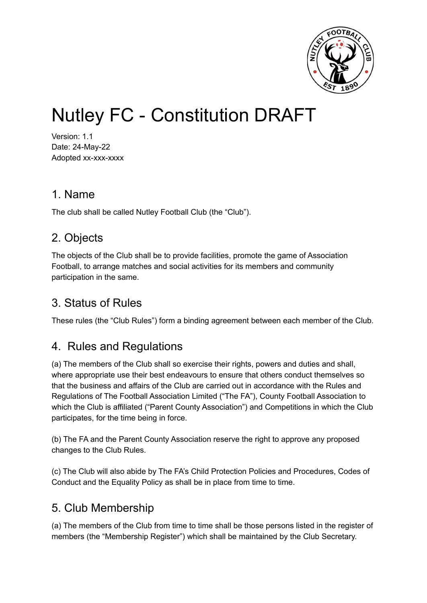

# Nutley FC - Constitution DRAFT

Version: 1.1 Date: 24-May-22 Adopted xx-xxx-xxxx

#### 1. Name

The club shall be called Nutley Football Club (the "Club").

# 2. Objects

The objects of the Club shall be to provide facilities, promote the game of Association Football, to arrange matches and social activities for its members and community participation in the same.

# 3. Status of Rules

These rules (the "Club Rules") form a binding agreement between each member of the Club.

# 4. Rules and Regulations

(a) The members of the Club shall so exercise their rights, powers and duties and shall, where appropriate use their best endeavours to ensure that others conduct themselves so that the business and affairs of the Club are carried out in accordance with the Rules and Regulations of The Football Association Limited ("The FA"), County Football Association to which the Club is affiliated ("Parent County Association") and Competitions in which the Club participates, for the time being in force.

(b) The FA and the Parent County Association reserve the right to approve any proposed changes to the Club Rules.

(c) The Club will also abide by The FA's Child Protection Policies and Procedures, Codes of Conduct and the Equality Policy as shall be in place from time to time.

# 5. Club Membership

(a) The members of the Club from time to time shall be those persons listed in the register of members (the "Membership Register") which shall be maintained by the Club Secretary.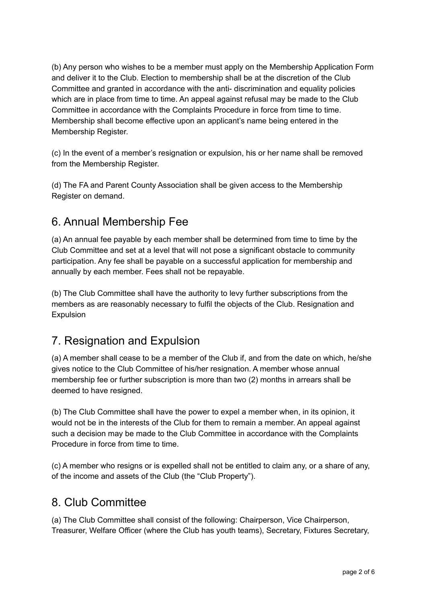(b) Any person who wishes to be a member must apply on the Membership Application Form and deliver it to the Club. Election to membership shall be at the discretion of the Club Committee and granted in accordance with the anti- discrimination and equality policies which are in place from time to time. An appeal against refusal may be made to the Club Committee in accordance with the Complaints Procedure in force from time to time. Membership shall become effective upon an applicant's name being entered in the Membership Register.

(c) In the event of a member's resignation or expulsion, his or her name shall be removed from the Membership Register.

(d) The FA and Parent County Association shall be given access to the Membership Register on demand.

## 6. Annual Membership Fee

(a) An annual fee payable by each member shall be determined from time to time by the Club Committee and set at a level that will not pose a significant obstacle to community participation. Any fee shall be payable on a successful application for membership and annually by each member. Fees shall not be repayable.

(b) The Club Committee shall have the authority to levy further subscriptions from the members as are reasonably necessary to fulfil the objects of the Club. Resignation and Expulsion

#### 7. Resignation and Expulsion

(a) A member shall cease to be a member of the Club if, and from the date on which, he/she gives notice to the Club Committee of his/her resignation. A member whose annual membership fee or further subscription is more than two (2) months in arrears shall be deemed to have resigned.

(b) The Club Committee shall have the power to expel a member when, in its opinion, it would not be in the interests of the Club for them to remain a member. An appeal against such a decision may be made to the Club Committee in accordance with the Complaints Procedure in force from time to time.

(c) A member who resigns or is expelled shall not be entitled to claim any, or a share of any, of the income and assets of the Club (the "Club Property").

#### 8. Club Committee

(a) The Club Committee shall consist of the following: Chairperson, Vice Chairperson, Treasurer, Welfare Officer (where the Club has youth teams), Secretary, Fixtures Secretary,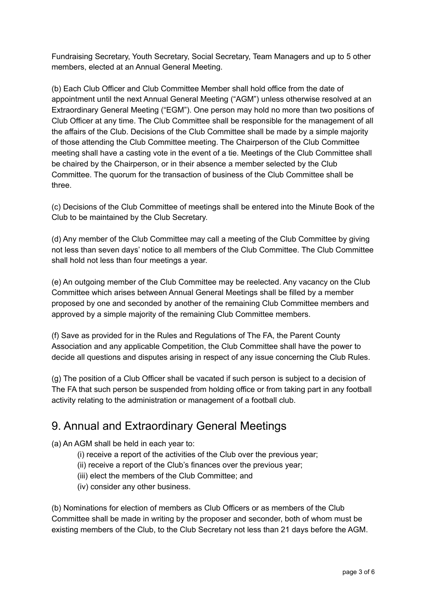Fundraising Secretary, Youth Secretary, Social Secretary, Team Managers and up to 5 other members, elected at an Annual General Meeting.

(b) Each Club Officer and Club Committee Member shall hold office from the date of appointment until the next Annual General Meeting ("AGM") unless otherwise resolved at an Extraordinary General Meeting ("EGM"). One person may hold no more than two positions of Club Officer at any time. The Club Committee shall be responsible for the management of all the affairs of the Club. Decisions of the Club Committee shall be made by a simple majority of those attending the Club Committee meeting. The Chairperson of the Club Committee meeting shall have a casting vote in the event of a tie. Meetings of the Club Committee shall be chaired by the Chairperson, or in their absence a member selected by the Club Committee. The quorum for the transaction of business of the Club Committee shall be three.

(c) Decisions of the Club Committee of meetings shall be entered into the Minute Book of the Club to be maintained by the Club Secretary.

(d) Any member of the Club Committee may call a meeting of the Club Committee by giving not less than seven days' notice to all members of the Club Committee. The Club Committee shall hold not less than four meetings a year.

(e) An outgoing member of the Club Committee may be reelected. Any vacancy on the Club Committee which arises between Annual General Meetings shall be filled by a member proposed by one and seconded by another of the remaining Club Committee members and approved by a simple majority of the remaining Club Committee members.

(f) Save as provided for in the Rules and Regulations of The FA, the Parent County Association and any applicable Competition, the Club Committee shall have the power to decide all questions and disputes arising in respect of any issue concerning the Club Rules.

(g) The position of a Club Officer shall be vacated if such person is subject to a decision of The FA that such person be suspended from holding office or from taking part in any football activity relating to the administration or management of a football club.

## 9. Annual and Extraordinary General Meetings

(a) An AGM shall be held in each year to:

- (i) receive a report of the activities of the Club over the previous year;
- (ii) receive a report of the Club's finances over the previous year;
- (iii) elect the members of the Club Committee; and
- (iv) consider any other business.

(b) Nominations for election of members as Club Officers or as members of the Club Committee shall be made in writing by the proposer and seconder, both of whom must be existing members of the Club, to the Club Secretary not less than 21 days before the AGM.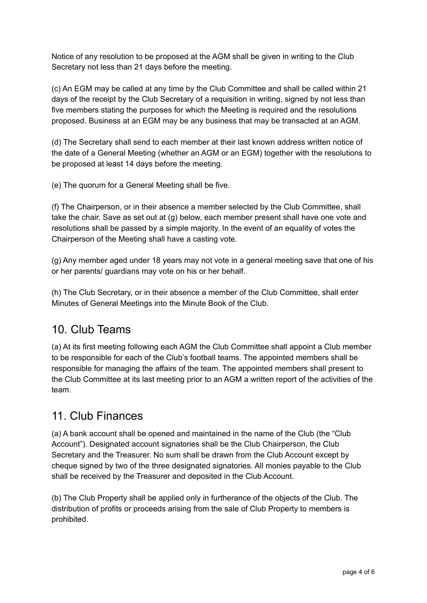Notice of any resolution to be proposed at the AGM shall be given in writing to the Club Secretary not less than 21 days before the meeting.

(c) An EGM may be called at any time by the Club Committee and shall be called within 21 days of the receipt by the Club Secretary of a requisition in writing, signed by not less than five members stating the purposes for which the Meeting is required and the resolutions proposed. Business at an EGM may be any business that may be transacted at an AGM.

(d) The Secretary shall send to each member at their last known address written notice of the date of a General Meeting (whether an AGM or an EGM) together with the resolutions to be proposed at least 14 days before the meeting.

(e) The quorum for a General Meeting shall be five.

(f) The Chairperson, or in their absence a member selected by the Club Committee, shall take the chair. Save as set out at (g) below, each member present shall have one vote and resolutions shall be passed by a simple majority. In the event of an equality of votes the Chairperson of the Meeting shall have a casting vote.

(g) Any member aged under 18 years may not vote in a general meeting save that one of his or her parents/ guardians may vote on his or her behalf.

(h) The Club Secretary, or in their absence a member of the Club Committee, shall enter Minutes of General Meetings into the Minute Book of the Club.

#### 10. Club Teams

(a) At its first meeting following each AGM the Club Committee shall appoint a Club member to be responsible for each of the Club's football teams. The appointed members shall be responsible for managing the affairs of the team. The appointed members shall present to the Club Committee at its last meeting prior to an AGM a written report of the activities of the team.

#### 11. Club Finances

(a) A bank account shall be opened and maintained in the name of the Club (the "Club Account"). Designated account signatories shall be the Club Chairperson, the Club Secretary and the Treasurer. No sum shall be drawn from the Club Account except by cheque signed by two of the three designated signatories. All monies payable to the Club shall be received by the Treasurer and deposited in the Club Account.

(b) The Club Property shall be applied only in furtherance of the objects of the Club. The distribution of profits or proceeds arising from the sale of Club Property to members is prohibited.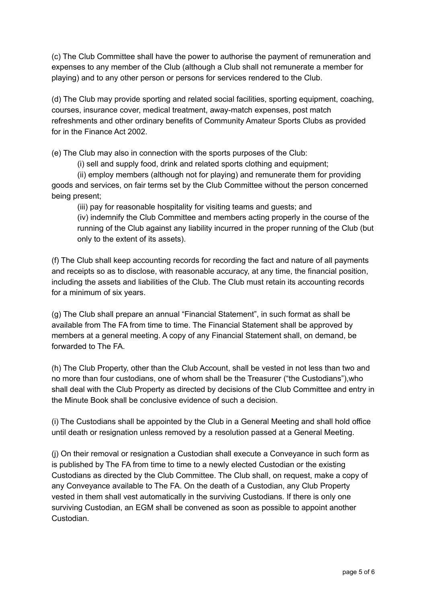(c) The Club Committee shall have the power to authorise the payment of remuneration and expenses to any member of the Club (although a Club shall not remunerate a member for playing) and to any other person or persons for services rendered to the Club.

(d) The Club may provide sporting and related social facilities, sporting equipment, coaching, courses, insurance cover, medical treatment, away-match expenses, post match refreshments and other ordinary benefits of Community Amateur Sports Clubs as provided for in the Finance Act 2002.

(e) The Club may also in connection with the sports purposes of the Club:

(i) sell and supply food, drink and related sports clothing and equipment;

(ii) employ members (although not for playing) and remunerate them for providing goods and services, on fair terms set by the Club Committee without the person concerned being present;

(iii) pay for reasonable hospitality for visiting teams and guests; and

(iv) indemnify the Club Committee and members acting properly in the course of the running of the Club against any liability incurred in the proper running of the Club (but only to the extent of its assets).

(f) The Club shall keep accounting records for recording the fact and nature of all payments and receipts so as to disclose, with reasonable accuracy, at any time, the financial position, including the assets and liabilities of the Club. The Club must retain its accounting records for a minimum of six years.

(g) The Club shall prepare an annual "Financial Statement", in such format as shall be available from The FA from time to time. The Financial Statement shall be approved by members at a general meeting. A copy of any Financial Statement shall, on demand, be forwarded to The FA.

(h) The Club Property, other than the Club Account, shall be vested in not less than two and no more than four custodians, one of whom shall be the Treasurer ("the Custodians"),who shall deal with the Club Property as directed by decisions of the Club Committee and entry in the Minute Book shall be conclusive evidence of such a decision.

(i) The Custodians shall be appointed by the Club in a General Meeting and shall hold office until death or resignation unless removed by a resolution passed at a General Meeting.

(j) On their removal or resignation a Custodian shall execute a Conveyance in such form as is published by The FA from time to time to a newly elected Custodian or the existing Custodians as directed by the Club Committee. The Club shall, on request, make a copy of any Conveyance available to The FA. On the death of a Custodian, any Club Property vested in them shall vest automatically in the surviving Custodians. If there is only one surviving Custodian, an EGM shall be convened as soon as possible to appoint another Custodian.